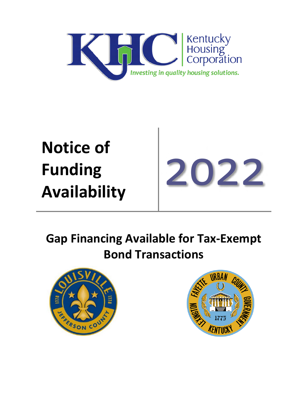

# **Notice of Funding**



# **Gap Financing Available for Tax-Exempt Bond Transactions**



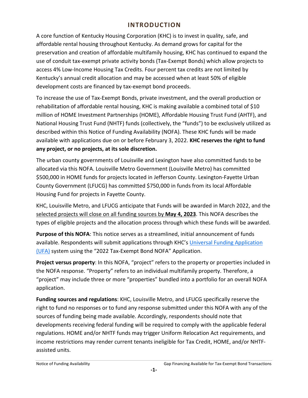# **INTRODUCTION**

A core function of Kentucky Housing Corporation (KHC) is to invest in quality, safe, and affordable rental housing throughout Kentucky. As demand grows for capital for the preservation and creation of affordable multifamily housing, KHC has continued to expand the use of conduit tax-exempt private activity bonds (Tax-Exempt Bonds) which allow projects to access 4% Low-Income Housing Tax Credits. Four percent tax credits are not limited by Kentucky's annual credit allocation and may be accessed when at least 50% of eligible development costs are financed by tax-exempt bond proceeds.

To increase the use of Tax-Exempt Bonds, private investment, and the overall production or rehabilitation of affordable rental housing, KHC is making available a combined total of \$10 million of HOME Investment Partnerships (HOME), Affordable Housing Trust Fund (AHTF), and National Housing Trust Fund (NHTF) funds (collectively, the "funds") to be exclusively utilized as described within this Notice of Funding Availability (NOFA). These KHC funds will be made available with applications due on or before February 3, 2022. **KHC reserves the right to fund any project, or no projects, at its sole discretion.**

The urban county governments of Louisville and Lexington have also committed funds to be allocated via this NOFA. Louisville Metro Government (Louisville Metro) has committed \$500,000 in HOME funds for projects located in Jefferson County. Lexington-Fayette Urban County Government (LFUCG) has committed \$750,000 in funds from its local Affordable Housing Fund for projects in Fayette County.

KHC, Louisville Metro, and LFUCG anticipate that Funds will be awarded in March 2022, and the selected projects will close on all funding sources by **May 4, 2023**. This NOFA describes the types of eligible projects and the allocation process through which these funds will be awarded.

**Purpose of this NOFA**: This notice serves as a streamlined, initial announcement of funds available. Respondents will submit applications through KHC's Universal Funding Application [\(UFA\)](https://wapps.kyhousing.org/UFA/User/Login) system using the "2022 Tax-Exempt Bond NOFA" Application.

**Project versus property**: In this NOFA, "project" refers to the property or properties included in the NOFA response. "Property" refers to an individual multifamily property. Therefore, a "project" may include three or more "properties" bundled into a portfolio for an overall NOFA application.

**Funding sources and regulations**: KHC, Louisville Metro, and LFUCG specifically reserve the right to fund no responses or to fund any response submitted under this NOFA with any of the sources of funding being made available. Accordingly, respondents should note that developments receiving federal funding will be required to comply with the applicable federal regulations. HOME and/or NHTF funds may trigger Uniform Relocation Act requirements, and income restrictions may render current tenants ineligible for Tax Credit, HOME, and/or NHTFassisted units.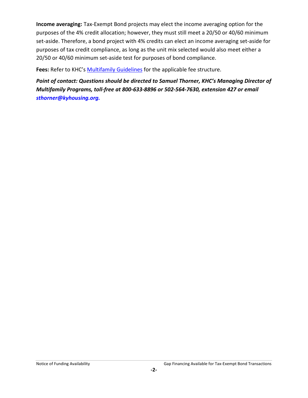**Income averaging:** Tax-Exempt Bond projects may elect the income averaging option for the purposes of the 4% credit allocation; however, they must still meet a 20/50 or 40/60 minimum set-aside. Therefore, a bond project with 4% credits can elect an income averaging set-aside for purposes of tax credit compliance, as long as the unit mix selected would also meet either a 20/50 or 40/60 minimum set-aside test for purposes of bond compliance.

**Fees:** Refer to KHC's [Multifamily Guidelines](https://www.kyhousing.org/Partners/Developers/Multifamily/Documents/2021-2022%20Multifamily%20Guidelines.pdf) for the applicable fee structure.

*Point of contact: Questions should be directed to Samuel Thorner, KHC's Managing Director of Multifamily Programs, toll-free at 800-633-8896 or 502-564-7630, extension 427 or email sthorner@kyhousing.org.*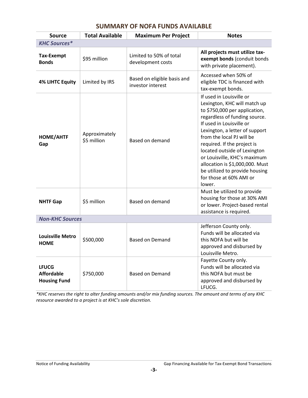| <b>Source</b>                                            | <b>Total Available</b>       | <b>Maximum Per Project</b>                       | <b>Notes</b>                                                                                                                                                                                                                                                                                                                                                                                                                   |  |
|----------------------------------------------------------|------------------------------|--------------------------------------------------|--------------------------------------------------------------------------------------------------------------------------------------------------------------------------------------------------------------------------------------------------------------------------------------------------------------------------------------------------------------------------------------------------------------------------------|--|
| <b>KHC Sources*</b>                                      |                              |                                                  |                                                                                                                                                                                                                                                                                                                                                                                                                                |  |
| <b>Tax-Exempt</b><br><b>Bonds</b>                        | \$95 million                 | Limited to 50% of total<br>development costs     | All projects must utilize tax-<br>exempt bonds (conduit bonds<br>with private placement).                                                                                                                                                                                                                                                                                                                                      |  |
| <b>4% LIHTC Equity</b>                                   | Limited by IRS               | Based on eligible basis and<br>investor interest | Accessed when 50% of<br>eligible TDC is financed with<br>tax-exempt bonds.                                                                                                                                                                                                                                                                                                                                                     |  |
| HOME/AHTF<br>Gap                                         | Approximately<br>\$5 million | Based on demand                                  | If used in Louisville or<br>Lexington, KHC will match up<br>to \$750,000 per application,<br>regardless of funding source.<br>If used in Louisville or<br>Lexington, a letter of support<br>from the local PJ will be<br>required. If the project is<br>located outside of Lexington<br>or Louisville, KHC's maximum<br>allocation is \$1,000,000. Must<br>be utilized to provide housing<br>for those at 60% AMI or<br>lower. |  |
| <b>NHTF Gap</b>                                          | \$5 million                  | <b>Based on demand</b>                           | Must be utilized to provide<br>housing for those at 30% AMI<br>or lower. Project-based rental<br>assistance is required.                                                                                                                                                                                                                                                                                                       |  |
| <b>Non-KHC Sources</b>                                   |                              |                                                  |                                                                                                                                                                                                                                                                                                                                                                                                                                |  |
| <b>Louisville Metro</b><br><b>HOME</b>                   | \$500,000                    | <b>Based on Demand</b>                           | Jefferson County only.<br>Funds will be allocated via<br>this NOFA but will be<br>approved and disbursed by<br>Louisville Metro.                                                                                                                                                                                                                                                                                               |  |
| <b>LFUCG</b><br><b>Affordable</b><br><b>Housing Fund</b> | \$750,000                    | <b>Based on Demand</b>                           | Fayette County only.<br>Funds will be allocated via<br>this NOFA but must be<br>approved and disbursed by<br>LFUCG.                                                                                                                                                                                                                                                                                                            |  |

## **SUMMARY OF NOFA FUNDS AVAILABLE**

*\*KHC reserves the right to alter funding amounts and/or mix funding sources. The amount and terms of any KHC resource awarded to a project is at KHC's sole discretion.*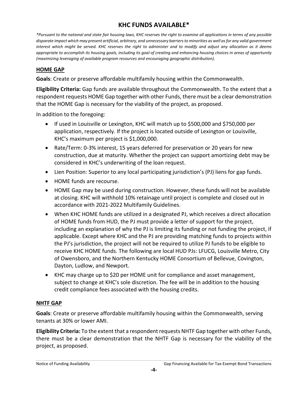# **KHC FUNDS AVAILABLE\***

*\*Pursuant to the national and state fair housing laws, KHC reserves the right to examine all applications in terms of any possible disparate impact which may present artificial, arbitrary, and unnecessary barriers to minorities as well as for any valid government interest which might be served. KHC reserves the right to administer and to modify and adjust any allocation as it deems appropriate to accomplish its housing goals, including its goal of creating and enhancing housing choices in areas of opportunity (maximizing leveraging of available program resources and encouraging geographic distribution).* 

#### **HOME GAP**

**Goals**: Create or preserve affordable multifamily housing within the Commonwealth.

**Eligibility Criteria:** Gap funds are available throughout the Commonwealth. To the extent that a respondent requests HOME Gap together with other Funds, there must be a clear demonstration that the HOME Gap is necessary for the viability of the project, as proposed.

In addition to the foregoing:

- If used in Louisville or Lexington, KHC will match up to \$500,000 and \$750,000 per application, respectively. If the project is located outside of Lexington or Louisville, KHC's maximum per project is \$1,000,000.
- Rate/Term: 0-3% interest, 15 years deferred for preservation or 20 years for new construction, due at maturity. Whether the project can support amortizing debt may be considered in KHC's underwriting of the loan request.
- Lien Position: Superior to any local participating jurisdiction's (PJ) liens for gap funds.
- HOME funds are recourse.
- HOME Gap may be used during construction. However, these funds will not be available at closing. KHC will withhold 10% retainage until project is complete and closed out in accordance with 2021-2022 Multifamily Guidelines.
- When KHC HOME funds are utilized in a designated PJ, which receives a direct allocation of HOME funds from HUD, the PJ must provide a letter of support for the project, including an explanation of why the PJ is limiting its funding or not funding the project, if applicable. Except where KHC and the PJ are providing matching funds to projects within the PJ's jurisdiction, the project will not be required to utilize PJ funds to be eligible to receive KHC HOME funds. The following are local HUD PJs: LFUCG, Louisville Metro, City of Owensboro, and the Northern Kentucky HOME Consortium of Bellevue, Covington, Dayton, Ludlow, and Newport.
- KHC may charge up to \$20 per HOME unit for compliance and asset management, subject to change at KHC's sole discretion. The fee will be in addition to the housing credit compliance fees associated with the housing credits.

#### **NHTF GAP**

**Goals**: Create or preserve affordable multifamily housing within the Commonwealth, serving tenants at 30% or lower AMI.

**Eligibility Criteria:** To the extent that a respondent requests NHTF Gap together with other Funds, there must be a clear demonstration that the NHTF Gap is necessary for the viability of the project, as proposed.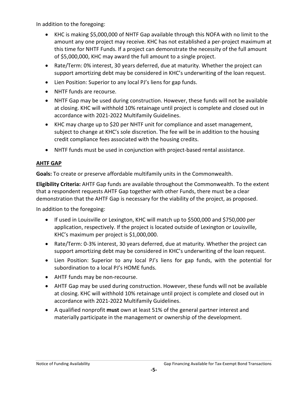In addition to the foregoing:

- KHC is making \$5,000,000 of NHTF Gap available through this NOFA with no limit to the amount any one project may receive. KHC has not established a per-project maximum at this time for NHTF Funds. If a project can demonstrate the necessity of the full amount of \$5,000,000, KHC may award the full amount to a single project.
- Rate/Term: 0% interest, 30 years deferred, due at maturity. Whether the project can support amortizing debt may be considered in KHC's underwriting of the loan request.
- Lien Position: Superior to any local PJ's liens for gap funds.
- NHTF funds are recourse.
- NHTF Gap may be used during construction. However, these funds will not be available at closing. KHC will withhold 10% retainage until project is complete and closed out in accordance with 2021-2022 Multifamily Guidelines.
- KHC may charge up to \$20 per NHTF unit for compliance and asset management, subject to change at KHC's sole discretion. The fee will be in addition to the housing credit compliance fees associated with the housing credits.
- NHTF funds must be used in conjunction with project-based rental assistance.

#### **AHTF GAP**

**Goals:** To create or preserve affordable multifamily units in the Commonwealth.

**Eligibility Criteria:** AHTF Gap funds are available throughout the Commonwealth. To the extent that a respondent requests AHTF Gap together with other Funds, there must be a clear demonstration that the AHTF Gap is necessary for the viability of the project, as proposed.

In addition to the foregoing:

- If used in Louisville or Lexington, KHC will match up to \$500,000 and \$750,000 per application, respectively. If the project is located outside of Lexington or Louisville, KHC's maximum per project is \$1,000,000.
- Rate/Term: 0-3% interest, 30 years deferred, due at maturity. Whether the project can support amortizing debt may be considered in KHC's underwriting of the loan request.
- Lien Position: Superior to any local PJ's liens for gap funds, with the potential for subordination to a local PJ's HOME funds.
- AHTF funds may be non-recourse.
- AHTF Gap may be used during construction. However, these funds will not be available at closing. KHC will withhold 10% retainage until project is complete and closed out in accordance with 2021-2022 Multifamily Guidelines.
- A qualified nonprofit **must** own at least 51% of the general partner interest and materially participate in the management or ownership of the development.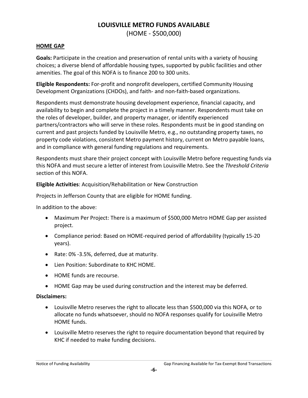## **LOUISVILLE METRO FUNDS AVAILABLE**

(HOME - \$500,000)

#### **HOME GAP**

**Goals:** Participate in the creation and preservation of rental units with a variety of housing choices; a diverse blend of affordable housing types, supported by public facilities and other amenities. The goal of this NOFA is to finance 200 to 300 units.

**Eligible Respondents:** For-profit and nonprofit developers, certified Community Housing Development Organizations (CHDOs), and faith- and non-faith-based organizations.

Respondents must demonstrate housing development experience, financial capacity, and availability to begin and complete the project in a timely manner. Respondents must take on the roles of developer, builder, and property manager, or identify experienced partners/contractors who will serve in these roles. Respondents must be in good standing on current and past projects funded by Louisville Metro, e.g., no outstanding property taxes, no property code violations, consistent Metro payment history, current on Metro payable loans, and in compliance with general funding regulations and requirements.

Respondents must share their project concept with Louisville Metro before requesting funds via this NOFA and must secure a letter of interest from Louisville Metro. See the *Threshold Criteria* section of this NOFA.

**Eligible Activities**: Acquisition/Rehabilitation or New Construction

Projects in Jefferson County that are eligible for HOME funding.

In addition to the above:

- Maximum Per Project: There is a maximum of \$500,000 Metro HOME Gap per assisted project.
- Compliance period: Based on HOME-required period of affordability (typically 15-20 years).
- Rate: 0% -3.5%, deferred, due at maturity.
- Lien Position: Subordinate to KHC HOME.
- HOME funds are recourse.
- HOME Gap may be used during construction and the interest may be deferred.

#### **Disclaimers:**

- Louisville Metro reserves the right to allocate less than \$500,000 via this NOFA, or to allocate no funds whatsoever, should no NOFA responses qualify for Louisville Metro HOME funds.
- Louisville Metro reserves the right to require documentation beyond that required by KHC if needed to make funding decisions.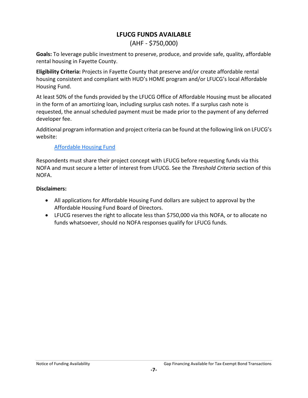# **LFUCG FUNDS AVAILABLE**

(AHF - \$750,000)

**Goals:** To leverage public investment to preserve, produce, and provide safe, quality, affordable rental housing in Fayette County.

**Eligibility Criteria:** Projects in Fayette County that preserve and/or create affordable rental housing consistent and compliant with HUD's HOME program and/or LFUCG's local Affordable Housing Fund.

At least 50% of the funds provided by the LFUCG Office of Affordable Housing must be allocated in the form of an amortizing loan, including surplus cash notes. If a surplus cash note is requested, the annual scheduled payment must be made prior to the payment of any deferred developer fee.

Additional program information and project criteria can be found at the following link on LFUCG's website:

#### [Affordable Housing Fund](https://www.lexingtonky.gov/departments/office-affordable-housing)

Respondents must share their project concept with LFUCG before requesting funds via this NOFA and must secure a letter of interest from LFUCG. See the *Threshold Criteria* section of this NOFA.

#### **Disclaimers:**

- All applications for Affordable Housing Fund dollars are subject to approval by the Affordable Housing Fund Board of Directors.
- LFUCG reserves the right to allocate less than \$750,000 via this NOFA, or to allocate no funds whatsoever, should no NOFA responses qualify for LFUCG funds.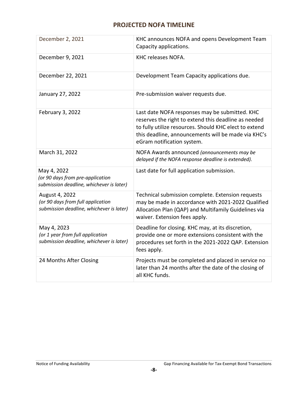# **PROJECTED NOFA TIMELINE**

| December 2, 2021                                                                                | KHC announces NOFA and opens Development Team<br>Capacity applications.                                                                                                                                                                               |  |
|-------------------------------------------------------------------------------------------------|-------------------------------------------------------------------------------------------------------------------------------------------------------------------------------------------------------------------------------------------------------|--|
| December 9, 2021                                                                                | KHC releases NOFA.                                                                                                                                                                                                                                    |  |
| December 22, 2021                                                                               | Development Team Capacity applications due.                                                                                                                                                                                                           |  |
| January 27, 2022                                                                                | Pre-submission waiver requests due.                                                                                                                                                                                                                   |  |
| February 3, 2022                                                                                | Last date NOFA responses may be submitted. KHC<br>reserves the right to extend this deadline as needed<br>to fully utilize resources. Should KHC elect to extend<br>this deadline, announcements will be made via KHC's<br>eGram notification system. |  |
| March 31, 2022                                                                                  | NOFA Awards announced (announcements may be<br>delayed if the NOFA response deadline is extended).                                                                                                                                                    |  |
| May 4, 2022<br>(or 90 days from pre-application<br>submission deadline, whichever is later)     | Last date for full application submission.                                                                                                                                                                                                            |  |
| August 4, 2022<br>(or 90 days from full application<br>submission deadline, whichever is later) | Technical submission complete. Extension requests<br>may be made in accordance with 2021-2022 Qualified<br>Allocation Plan (QAP) and Multifamily Guidelines via<br>waiver. Extension fees apply.                                                      |  |
| May 4, 2023<br>(or 1 year from full application<br>submission deadline, whichever is later)     | Deadline for closing. KHC may, at its discretion,<br>provide one or more extensions consistent with the<br>procedures set forth in the 2021-2022 QAP. Extension<br>fees apply.                                                                        |  |
| 24 Months After Closing                                                                         | Projects must be completed and placed in service no<br>later than 24 months after the date of the closing of<br>all KHC funds.                                                                                                                        |  |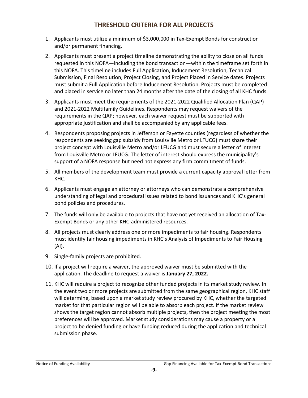#### **THRESHOLD CRITERIA FOR ALL PROJECTS**

- 1. Applicants must utilize a minimum of \$3,000,000 in Tax-Exempt Bonds for construction and/or permanent financing.
- 2. Applicants must present a project timeline demonstrating the ability to close on all funds requested in this NOFA—including the bond transaction—within the timeframe set forth in this NOFA. This timeline includes Full Application, Inducement Resolution, Technical Submission, Final Resolution, Project Closing, and Project Placed in Service dates. Projects must submit a Full Application before Inducement Resolution. Projects must be completed and placed in service no later than 24 months after the date of the closing of all KHC funds.
- 3. Applicants must meet the requirements of the 2021-2022 Qualified Allocation Plan (QAP) and 2021-2022 Multifamily Guidelines. Respondents may request waivers of the requirements in the QAP; however, each waiver request must be supported with appropriate justification and shall be accompanied by any applicable fees.
- 4. Respondents proposing projects in Jefferson or Fayette counties (regardless of whether the respondents are seeking gap subsidy from Louisville Metro or LFUCG) must share their project concept with Louisville Metro and/or LFUCG and must secure a letter of interest from Louisville Metro or LFUCG. The letter of interest should express the municipality's support of a NOFA response but need not express any firm commitment of funds.
- 5. All members of the development team must provide a current capacity approval letter from KHC.
- 6. Applicants must engage an attorney or attorneys who can demonstrate a comprehensive understanding of legal and procedural issues related to bond issuances and KHC's general bond policies and procedures.
- 7. The funds will only be available to projects that have not yet received an allocation of Tax-Exempt Bonds or any other KHC-administered resources.
- 8. All projects must clearly address one or more impediments to fair housing. Respondents must identify fair housing impediments in KHC's Analysis of Impediments to Fair Housing (AI).
- 9. Single-family projects are prohibited.
- 10. If a project will require a waiver, the approved waiver must be submitted with the application. The deadline to request a waiver is **January 27, 2022.**
- 11. KHC will require a project to recognize other funded projects in its market study review. In the event two or more projects are submitted from the same geographical region, KHC staff will determine, based upon a market study review procured by KHC, whether the targeted market for that particular region will be able to absorb each project. If the market review shows the target region cannot absorb multiple projects, then the project meeting the most preferences will be approved. Market study considerations may cause a property or a project to be denied funding or have funding reduced during the application and technical submission phase.